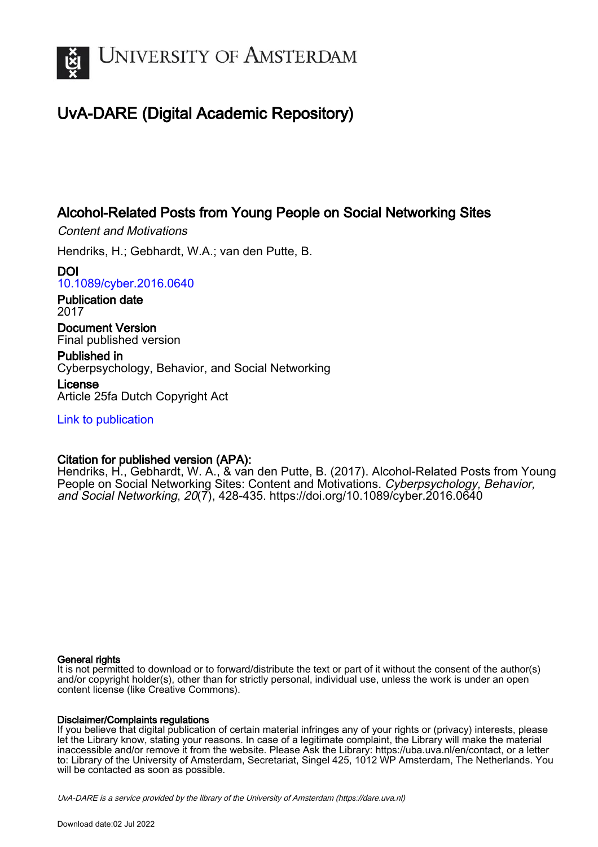

# UvA-DARE (Digital Academic Repository)

## Alcohol-Related Posts from Young People on Social Networking Sites

Content and Motivations

Hendriks, H.; Gebhardt, W.A.; van den Putte, B.

DOI [10.1089/cyber.2016.0640](https://doi.org/10.1089/cyber.2016.0640)

Publication date 2017

Document Version Final published version

Published in Cyberpsychology, Behavior, and Social Networking

License Article 25fa Dutch Copyright Act

[Link to publication](https://dare.uva.nl/personal/pure/en/publications/alcoholrelated-posts-from-young-people-on-social-networking-sites(7f5eb9bd-b302-4f5f-9c0c-ff6d2a333e74).html)

## Citation for published version (APA):

Hendriks, H., Gebhardt, W. A., & van den Putte, B. (2017). Alcohol-Related Posts from Young People on Social Networking Sites: Content and Motivations. Cyberpsychology, Behavior, and Social Networking, 20(7), 428-435.<https://doi.org/10.1089/cyber.2016.0640>

## General rights

It is not permitted to download or to forward/distribute the text or part of it without the consent of the author(s) and/or copyright holder(s), other than for strictly personal, individual use, unless the work is under an open content license (like Creative Commons).

## Disclaimer/Complaints regulations

If you believe that digital publication of certain material infringes any of your rights or (privacy) interests, please let the Library know, stating your reasons. In case of a legitimate complaint, the Library will make the material inaccessible and/or remove it from the website. Please Ask the Library: https://uba.uva.nl/en/contact, or a letter to: Library of the University of Amsterdam, Secretariat, Singel 425, 1012 WP Amsterdam, The Netherlands. You will be contacted as soon as possible.

UvA-DARE is a service provided by the library of the University of Amsterdam (http*s*://dare.uva.nl)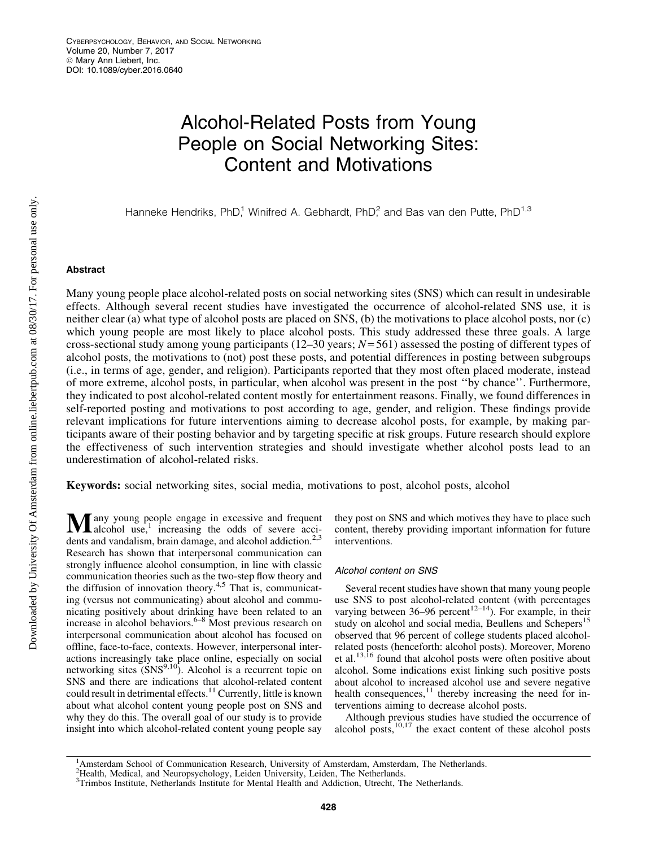# Alcohol-Related Posts from Young People on Social Networking Sites: Content and Motivations

Hanneke Hendriks, PhD,<sup>1</sup> Winifred A. Gebhardt, PhD,<sup>2</sup> and Bas van den Putte, PhD<sup>1,3</sup>

### Abstract

Many young people place alcohol-related posts on social networking sites (SNS) which can result in undesirable effects. Although several recent studies have investigated the occurrence of alcohol-related SNS use, it is neither clear (a) what type of alcohol posts are placed on SNS, (b) the motivations to place alcohol posts, nor (c) which young people are most likely to place alcohol posts. This study addressed these three goals. A large cross-sectional study among young participants (12–30 years; *N*= 561) assessed the posting of different types of alcohol posts, the motivations to (not) post these posts, and potential differences in posting between subgroups (i.e., in terms of age, gender, and religion). Participants reported that they most often placed moderate, instead of more extreme, alcohol posts, in particular, when alcohol was present in the post ''by chance''. Furthermore, they indicated to post alcohol-related content mostly for entertainment reasons. Finally, we found differences in self-reported posting and motivations to post according to age, gender, and religion. These findings provide relevant implications for future interventions aiming to decrease alcohol posts, for example, by making participants aware of their posting behavior and by targeting specific at risk groups. Future research should explore the effectiveness of such intervention strategies and should investigate whether alcohol posts lead to an underestimation of alcohol-related risks.

Keywords: social networking sites, social media, motivations to post, alcohol posts, alcohol

 $\mathbf{M}$  any young people engage in excessive and frequent alcohol use,<sup>1</sup> increasing the odds of severe accidents and vandalism, brain damage, and alcohol addiction.<sup>2,3</sup> Research has shown that interpersonal communication can strongly influence alcohol consumption, in line with classic communication theories such as the two-step flow theory and the diffusion of innovation theory.<sup>4,5</sup> That is, communicating (versus not communicating) about alcohol and communicating positively about drinking have been related to an increase in alcohol behaviors. $6-8$  Most previous research on interpersonal communication about alcohol has focused on offline, face-to-face, contexts. However, interpersonal interactions increasingly take place online, especially on social networking sites  $(SNS<sup>9,10</sup>)$ . Alcohol is a recurrent topic on SNS and there are indications that alcohol-related content could result in detrimental effects.<sup>11</sup> Currently, little is known about what alcohol content young people post on SNS and why they do this. The overall goal of our study is to provide insight into which alcohol-related content young people say

they post on SNS and which motives they have to place such content, thereby providing important information for future interventions.

#### Alcohol content on SNS

Several recent studies have shown that many young people use SNS to post alcohol-related content (with percentages varying between 36–96 percent<sup>12–14</sup>). For example, in their study on alcohol and social media, Beullens and Schepers<sup>15</sup> observed that 96 percent of college students placed alcoholrelated posts (henceforth: alcohol posts). Moreover, Moreno et al.<sup>13,16</sup> found that alcohol posts were often positive about alcohol. Some indications exist linking such positive posts about alcohol to increased alcohol use and severe negative health consequences, $^{11}$  thereby increasing the need for interventions aiming to decrease alcohol posts.

Although previous studies have studied the occurrence of alcohol posts, $10,17$  the exact content of these alcohol posts

<sup>&</sup>lt;sup>1</sup>Amsterdam School of Communication Research, University of Amsterdam, Amsterdam, The Netherlands.

<sup>2</sup> Health, Medical, and Neuropsychology, Leiden University, Leiden, The Netherlands. 3 Trimbos Institute, Netherlands Institute for Mental Health and Addiction, Utrecht, The Netherlands.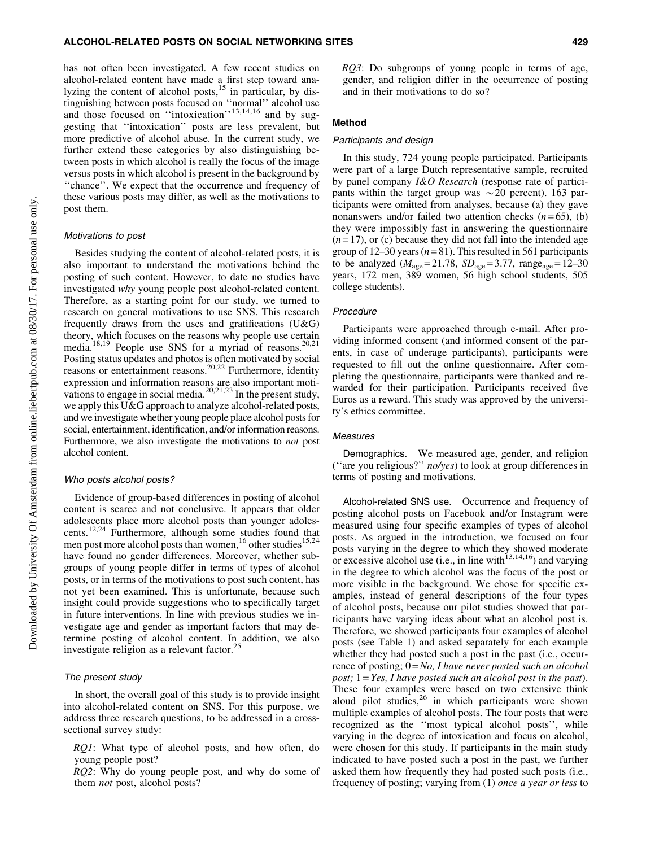has not often been investigated. A few recent studies on alcohol-related content have made a first step toward analyzing the content of alcohol posts, $15$  in particular, by distinguishing between posts focused on ''normal'' alcohol use and those focused on "intoxication"<sup>13,14,16</sup> and by suggesting that ''intoxication'' posts are less prevalent, but more predictive of alcohol abuse. In the current study, we further extend these categories by also distinguishing between posts in which alcohol is really the focus of the image versus posts in which alcohol is present in the background by ''chance''. We expect that the occurrence and frequency of these various posts may differ, as well as the motivations to post them.

#### Motivations to post

Besides studying the content of alcohol-related posts, it is also important to understand the motivations behind the posting of such content. However, to date no studies have investigated *why* young people post alcohol-related content. Therefore, as a starting point for our study, we turned to research on general motivations to use SNS. This research frequently draws from the uses and gratifications  $(U&G)$ theory, which focuses on the reasons why people use certain media.<sup>18,19</sup> People use SNS for a myriad of reasons.<sup>20,21</sup> Posting status updates and photos is often motivated by social reasons or entertainment reasons.<sup>20,22</sup> Furthermore, identity expression and information reasons are also important motivations to engage in social media.20,21,23 In the present study, we apply this U&G approach to analyze alcohol-related posts, and we investigate whether young people place alcohol posts for social, entertainment, identification, and/or information reasons. Furthermore, we also investigate the motivations to *not* post alcohol content.

#### Who posts alcohol posts?

Evidence of group-based differences in posting of alcohol content is scarce and not conclusive. It appears that older adolescents place more alcohol posts than younger adolescents.12,24 Furthermore, although some studies found that men post more alcohol posts than women,<sup>16</sup> other studies<sup>15,24</sup> have found no gender differences. Moreover, whether subgroups of young people differ in terms of types of alcohol posts, or in terms of the motivations to post such content, has not yet been examined. This is unfortunate, because such insight could provide suggestions who to specifically target in future interventions. In line with previous studies we investigate age and gender as important factors that may determine posting of alcohol content. In addition, we also investigate religion as a relevant factor. $^{25}$ 

#### The present study

In short, the overall goal of this study is to provide insight into alcohol-related content on SNS. For this purpose, we address three research questions, to be addressed in a crosssectional survey study:

*RQ1*: What type of alcohol posts, and how often, do young people post?

*RQ2*: Why do young people post, and why do some of them *not* post, alcohol posts?

*RQ3*: Do subgroups of young people in terms of age, gender, and religion differ in the occurrence of posting and in their motivations to do so?

#### Method

#### Participants and design

In this study, 724 young people participated. Participants were part of a large Dutch representative sample, recruited by panel company *I&O Research* (response rate of participants within the target group was  $\sim 20$  percent). 163 participants were omitted from analyses, because (a) they gave nonanswers and/or failed two attention checks  $(n=65)$ , (b) they were impossibly fast in answering the questionnaire  $(n=17)$ , or (c) because they did not fall into the intended age group of  $12-30$  years  $(n=81)$ . This resulted in 561 participants to be analyzed ( $M_{\text{age}} = 21.78$ ,  $SD_{\text{age}} = 3.77$ , range<sub>age</sub> = 12–30 years, 172 men, 389 women, 56 high school students, 505 college students).

#### Procedure

Participants were approached through e-mail. After providing informed consent (and informed consent of the parents, in case of underage participants), participants were requested to fill out the online questionnaire. After completing the questionnaire, participants were thanked and rewarded for their participation. Participants received five Euros as a reward. This study was approved by the university's ethics committee.

#### Measures

Demographics. We measured age, gender, and religion (''are you religious?'' *no/yes*) to look at group differences in terms of posting and motivations.

Alcohol-related SNS use. Occurrence and frequency of posting alcohol posts on Facebook and/or Instagram were measured using four specific examples of types of alcohol posts. As argued in the introduction, we focused on four posts varying in the degree to which they showed moderate or excessive alcohol use (i.e., in line with<sup>13,14,16</sup>) and varying in the degree to which alcohol was the focus of the post or more visible in the background. We chose for specific examples, instead of general descriptions of the four types of alcohol posts, because our pilot studies showed that participants have varying ideas about what an alcohol post is. Therefore, we showed participants four examples of alcohol posts (see Table 1) and asked separately for each example whether they had posted such a post in the past (i.e., occurrence of posting;  $0 = No$ , *I have never posted such an alcohol post;* 1 = *Yes, I have posted such an alcohol post in the past*). These four examples were based on two extensive think aloud pilot studies, $2^6$  in which participants were shown multiple examples of alcohol posts. The four posts that were recognized as the ''most typical alcohol posts'', while varying in the degree of intoxication and focus on alcohol, were chosen for this study. If participants in the main study indicated to have posted such a post in the past, we further asked them how frequently they had posted such posts (i.e., frequency of posting; varying from (1) *once a year or less* to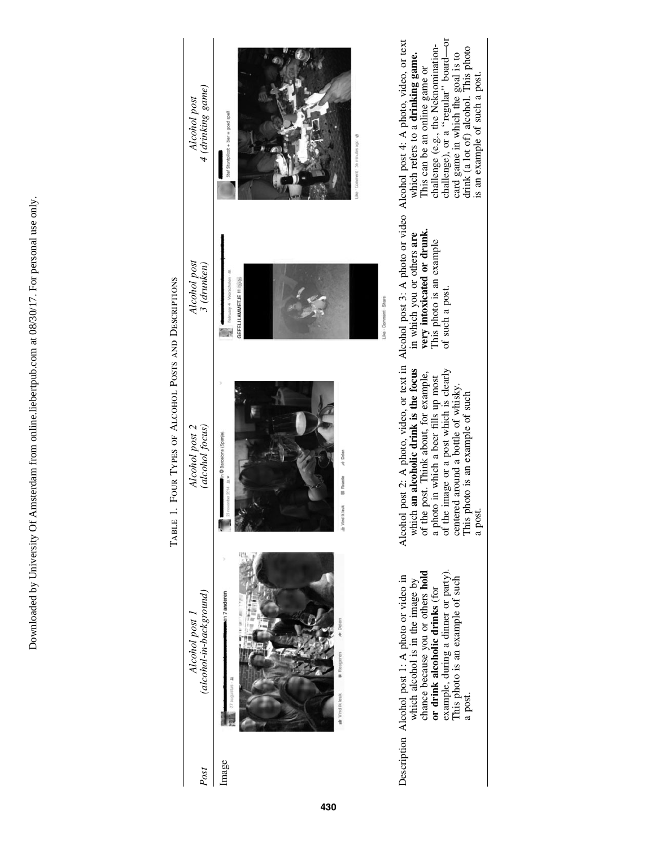Downloaded by University Of Amsterdam from online.liebertpub.com at 08/30/17. For personal use only. Downloaded by University Of Amsterdam from online.liebertpub.com at 08/30/17. For personal use only.

| 1. FOUR TYPES OF ALCOHOL POSTS AND DESCRIPTIONS<br>TABLE | 4 (drinking game)<br>Alcohol post       | Stef Stuntpiloot + bler = goed spell<br>Be "Comment" 56 minutes ago "@                     | challenge (e.g., the Neknomination-<br>challenge), or a "regular" board—or<br>post 2: A photo, video, or text in Alcohol post 3: A photo or video Alcohol post 4: A photo, video, or text<br>card game in which the goal is to<br>drink (a lot of) alcohol. This photo<br>which refers to a drinking game.<br>This can be an online game or<br>is an example of such a post. |
|----------------------------------------------------------|-----------------------------------------|--------------------------------------------------------------------------------------------|------------------------------------------------------------------------------------------------------------------------------------------------------------------------------------------------------------------------------------------------------------------------------------------------------------------------------------------------------------------------------|
|                                                          | Alcohol post<br>$3$ (drunken)           | GEFELI LAMMETJE III (6)(6)<br>Like - Comment - Share                                       | very intoxicated or drunk.<br>in which you or others are<br>This photo is an example<br>of such a post.                                                                                                                                                                                                                                                                      |
|                                                          | (alcohol focus)<br>Alcohol post 2       | In @ Barcelona (Spanje).<br>A Delen<br><b>Reactle</b><br>ber 2014 - Jr.<br>Ir Vind Ik leuk | which an alcoholic drink is the focus<br>a photo in which a beer fills up most<br>of the image or a post which is clearly<br>of the post. Think about, for example,<br>centered around a bottle of whisky.<br>This photo is an example of such<br>Alcohol<br>a pos                                                                                                           |
|                                                          | (alcohol-in-background)<br>Alcohol post | en 7 anderen<br>+ Deler<br><b>W</b> Reagerer<br>27 augustus - Ja<br>de Vind ik leuk        | chance because you or others hold<br>example, during a dinner or party).<br>Description Alcohol post 1: A photo or video in<br>which alcohol is in the image by<br>This photo is an example of such<br>or drink alcoholic drinks (for<br>a post.                                                                                                                             |
|                                                          | Post                                    | Image                                                                                      |                                                                                                                                                                                                                                                                                                                                                                              |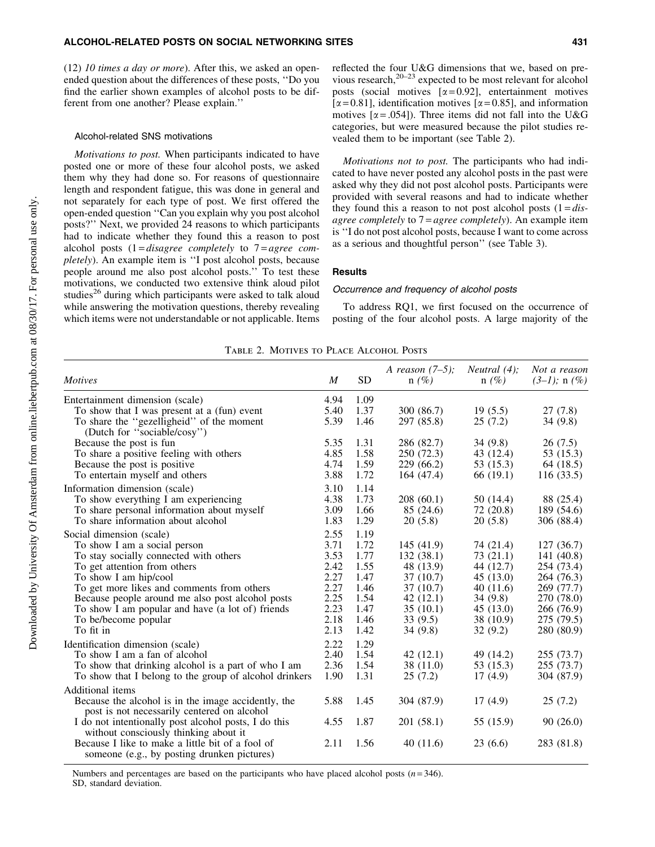(12) *10 times a day or more*). After this, we asked an openended question about the differences of these posts, ''Do you find the earlier shown examples of alcohol posts to be different from one another? Please explain.''

#### Alcohol-related SNS motivations

*Motivations to post.* When participants indicated to have posted one or more of these four alcohol posts, we asked them why they had done so. For reasons of questionnaire length and respondent fatigue, this was done in general and not separately for each type of post. We first offered the open-ended question ''Can you explain why you post alcohol posts?'' Next, we provided 24 reasons to which participants had to indicate whether they found this a reason to post alcohol posts (1 = *disagree completely* to 7 = *agree completely*). An example item is ''I post alcohol posts, because people around me also post alcohol posts.'' To test these motivations, we conducted two extensive think aloud pilot studies<sup>26</sup> during which participants were asked to talk aloud while answering the motivation questions, thereby revealing which items were not understandable or not applicable. Items

*Motivations not to post.* The participants who had indicated to have never posted any alcohol posts in the past were asked why they did not post alcohol posts. Participants were provided with several reasons and had to indicate whether they found this a reason to not post alcohol posts  $(1 = dis$ *agree completely* to 7 = *agree completely*). An example item is ''I do not post alcohol posts, because I want to come across as a serious and thoughtful person'' (see Table 3).

#### **Results**

#### Occurrence and frequency of alcohol posts

To address RQ1, we first focused on the occurrence of posting of the four alcohol posts. A large majority of the

|  |  | TABLE 2. MOTIVES TO PLACE ALCOHOL POSTS |  |
|--|--|-----------------------------------------|--|
|  |  |                                         |  |

| <b>Motives</b>                                                                                     | M    | <b>SD</b> | A reason $(7-5)$ ;<br>$n(\%)$ | <i>Neutral</i> $(4)$ :<br>$n(\%)$ | Not a reason<br>$(3-1)$ ; n $(\%)$ |
|----------------------------------------------------------------------------------------------------|------|-----------|-------------------------------|-----------------------------------|------------------------------------|
| Entertainment dimension (scale)                                                                    | 4.94 | 1.09      |                               |                                   |                                    |
| To show that I was present at a (fun) event                                                        | 5.40 | 1.37      | 300 (86.7)                    | 19(5.5)                           | 27(7.8)                            |
| To share the "gezelligheid" of the moment<br>(Dutch for "sociable/cosy")                           | 5.39 | 1.46      | 297 (85.8)                    | 25(7.2)                           | 34(9.8)                            |
| Because the post is fun                                                                            | 5.35 | 1.31      | 286 (82.7)                    | 34(9.8)                           | 26(7.5)                            |
| To share a positive feeling with others                                                            | 4.85 | 1.58      | 250 (72.3)                    | 43 (12.4)                         | 53 (15.3)                          |
| Because the post is positive                                                                       | 4.74 | 1.59      | 229 (66.2)                    | 53 (15.3)                         | 64 (18.5)                          |
| To entertain myself and others                                                                     | 3.88 | 1.72      | 164 (47.4)                    | 66 (19.1)                         | 116(33.5)                          |
| Information dimension (scale)                                                                      | 3.10 | 1.14      |                               |                                   |                                    |
| To show everything I am experiencing                                                               | 4.38 | 1.73      | 208(60.1)                     | 50 (14.4)                         | 88 (25.4)                          |
| To share personal information about myself                                                         | 3.09 | 1.66      | 85 (24.6)                     | 72 (20.8)                         | 189 (54.6)                         |
| To share information about alcohol                                                                 | 1.83 | 1.29      | 20(5.8)                       | 20(5.8)                           | 306 (88.4)                         |
| Social dimension (scale)                                                                           | 2.55 | 1.19      |                               |                                   |                                    |
| To show I am a social person                                                                       | 3.71 | 1.72      | 145(41.9)                     | 74 (21.4)                         | 127(36.7)                          |
| To stay socially connected with others                                                             | 3.53 | 1.77      | 132(38.1)                     | 73(21.1)                          | 141 (40.8)                         |
| To get attention from others                                                                       | 2.42 | 1.55      | 48 (13.9)                     | 44 (12.7)                         | 254 (73.4)                         |
| To show I am hip/cool                                                                              | 2.27 | 1.47      | 37(10.7)                      | 45(13.0)                          | 264 (76.3)                         |
| To get more likes and comments from others                                                         | 2.27 | 1.46      | 37(10.7)                      | 40(11.6)                          | 269 (77.7)                         |
| Because people around me also post alcohol posts                                                   | 2.25 | 1.54      | 42(12.1)                      | 34(9.8)                           | 270 (78.0)                         |
| To show I am popular and have (a lot of) friends                                                   | 2.23 | 1.47      | 35(10.1)                      | 45(13.0)                          | 266 (76.9)                         |
| To be/become popular                                                                               | 2.18 | 1.46      | 33(9.5)                       | 38 (10.9)                         | 275 (79.5)                         |
| To fit in                                                                                          | 2.13 | 1.42      | 34(9.8)                       | 32(9.2)                           | 280 (80.9)                         |
| Identification dimension (scale)                                                                   | 2.22 | 1.29      |                               |                                   |                                    |
| To show I am a fan of alcohol                                                                      | 2.40 | 1.54      | 42(12.1)                      | 49 (14.2)                         | 255 (73.7)                         |
| To show that drinking alcohol is a part of who I am                                                | 2.36 | 1.54      | 38 (11.0)                     | 53 (15.3)                         | 255 (73.7)                         |
| To show that I belong to the group of alcohol drinkers                                             | 1.90 | 1.31      | 25(7.2)                       | 17(4.9)                           | 304 (87.9)                         |
| Additional items                                                                                   |      |           |                               |                                   |                                    |
| Because the alcohol is in the image accidently, the<br>post is not necessarily centered on alcohol | 5.88 | 1.45      | 304 (87.9)                    | 17(4.9)                           | 25(7.2)                            |
| I do not intentionally post alcohol posts, I do this                                               | 4.55 | 1.87      | 201(58.1)                     | 55 (15.9)                         | 90(26.0)                           |
| without consciously thinking about it<br>Because I like to make a little bit of a fool of          | 2.11 | 1.56      | 40(11.6)                      | 23(6.6)                           | 283 (81.8)                         |
| someone (e.g., by posting drunken pictures)                                                        |      |           |                               |                                   |                                    |

Numbers and percentages are based on the participants who have placed alcohol posts  $(n=346)$ .

SD, standard deviation.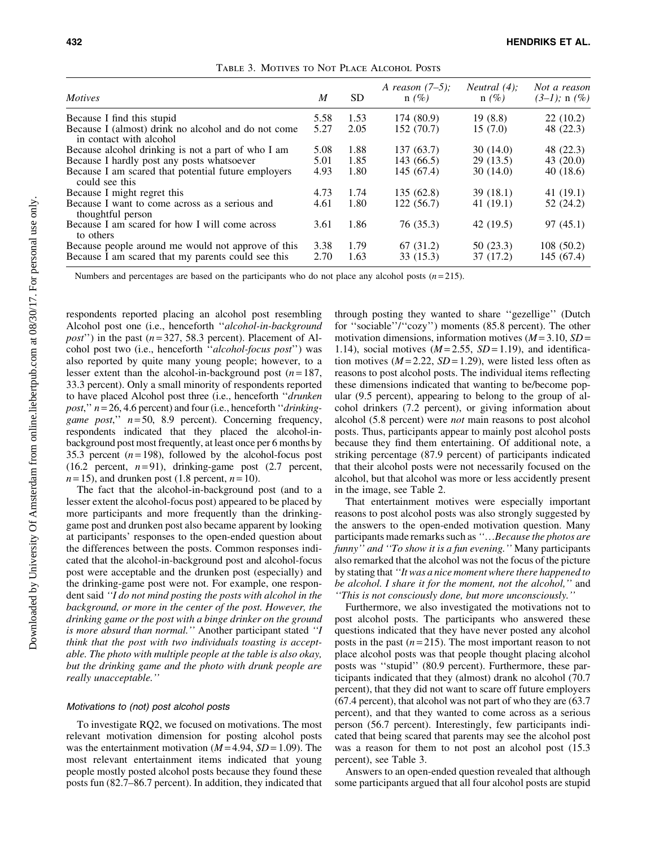| <i>Motives</i>                                                                 | M    | <b>SD</b> | A reason $(7-5)$ :<br>$n(\%)$ | <i>Neutral</i> $(4)$ :<br>$n(\%)$ | Not a reason<br>$(3-1)$ ; n $(\%)$ |
|--------------------------------------------------------------------------------|------|-----------|-------------------------------|-----------------------------------|------------------------------------|
| Because I find this stupid                                                     | 5.58 | 1.53      | 174 (80.9)                    | 19(8.8)                           | 22(10.2)                           |
| Because I (almost) drink no alcohol and do not come<br>in contact with alcohol | 5.27 | 2.05      | 152 (70.7)                    | 15(7.0)                           | 48 (22.3)                          |
| Because alcohol drinking is not a part of who I am                             | 5.08 | 1.88      | 137 (63.7)                    | 30 (14.0)                         | 48 (22.3)                          |
| Because I hardly post any posts whatsoever                                     | 5.01 | 1.85      | 143 (66.5)                    | 29(13.5)                          | 43 $(20.0)$                        |
| Because I am scared that potential future employers<br>could see this          | 4.93 | 1.80      | 145 (67.4)                    | 30(14.0)                          | 40(18.6)                           |
| Because I might regret this                                                    | 4.73 | 1.74      | 135(62.8)                     | 39(18.1)                          | 41(19.1)                           |
| Because I want to come across as a serious and<br>thoughtful person            | 4.61 | 1.80      | 122(56.7)                     | 41 (19.1)                         | 52 (24.2)                          |
| Because I am scared for how I will come across<br>to others                    | 3.61 | 1.86      | 76 (35.3)                     | 42 (19.5)                         | 97(45.1)                           |
| Because people around me would not approve of this                             | 3.38 | 1.79      | 67 (31.2)                     | 50 (23.3)                         | 108(50.2)                          |
| Because I am scared that my parents could see this                             | 2.70 | 1.63      | 33 (15.3)                     | 37 (17.2)                         | 145 (67.4)                         |

Table 3. Motives to Not Place Alcohol Posts

Numbers and percentages are based on the participants who do not place any alcohol posts  $(n=215)$ .

respondents reported placing an alcohol post resembling Alcohol post one (i.e., henceforth ''*alcohol-in-background post*") in the past  $(n=327, 58.3$  percent). Placement of Alcohol post two (i.e., henceforth ''*alcohol-focus post*'') was also reported by quite many young people; however, to a lesser extent than the alcohol-in-background post  $(n=187,$ 33.3 percent). Only a small minority of respondents reported to have placed Alcohol post three (i.e., henceforth ''*drunken post*,'' *n* = 26, 4.6 percent) and four (i.e., henceforth ''*drinkinggame post*,'' *n* = 50, 8.9 percent). Concerning frequency, respondents indicated that they placed the alcohol-inbackground post most frequently, at least once per 6 months by 35.3 percent  $(n=198)$ , followed by the alcohol-focus post (16.2 percent,  $n=91$ ), drinking-game post (2.7 percent,  $n=15$ ), and drunken post (1.8 percent,  $n=10$ ).

The fact that the alcohol-in-background post (and to a lesser extent the alcohol-focus post) appeared to be placed by more participants and more frequently than the drinkinggame post and drunken post also became apparent by looking at participants' responses to the open-ended question about the differences between the posts. Common responses indicated that the alcohol-in-background post and alcohol-focus post were acceptable and the drunken post (especially) and the drinking-game post were not. For example, one respondent said *''I do not mind posting the posts with alcohol in the background, or more in the center of the post. However, the drinking game or the post with a binge drinker on the ground is more absurd than normal.''* Another participant stated *''I think that the post with two individuals toasting is acceptable. The photo with multiple people at the table is also okay, but the drinking game and the photo with drunk people are really unacceptable.''*

#### Motivations to (not) post alcohol posts

To investigate RQ2, we focused on motivations. The most relevant motivation dimension for posting alcohol posts was the entertainment motivation  $(M=4.94, SD=1.09)$ . The most relevant entertainment items indicated that young people mostly posted alcohol posts because they found these posts fun (82.7–86.7 percent). In addition, they indicated that through posting they wanted to share ''gezellige'' (Dutch for ''sociable''/''cozy'') moments (85.8 percent). The other motivation dimensions, information motives  $(M=3.10, SD=$ 1.14), social motives  $(M=2.55, SD=1.19)$ , and identification motives  $(M = 2.22, SD = 1.29)$ , were listed less often as reasons to post alcohol posts. The individual items reflecting these dimensions indicated that wanting to be/become popular (9.5 percent), appearing to belong to the group of alcohol drinkers (7.2 percent), or giving information about alcohol (5.8 percent) were *not* main reasons to post alcohol posts. Thus, participants appear to mainly post alcohol posts because they find them entertaining. Of additional note, a striking percentage (87.9 percent) of participants indicated that their alcohol posts were not necessarily focused on the alcohol, but that alcohol was more or less accidently present in the image, see Table 2.

That entertainment motives were especially important reasons to post alcohol posts was also strongly suggested by the answers to the open-ended motivation question. Many participants made remarks such as "...Because the photos are *funny'' and ''To show it is a fun evening.''* Many participants also remarked that the alcohol was not the focus of the picture by stating that *''It was a nice moment where there happened to be alcohol. I share it for the moment, not the alcohol,''* and *''This is not consciously done, but more unconsciously.''*

Furthermore, we also investigated the motivations not to post alcohol posts. The participants who answered these questions indicated that they have never posted any alcohol posts in the past  $(n=215)$ . The most important reason to not place alcohol posts was that people thought placing alcohol posts was ''stupid'' (80.9 percent). Furthermore, these participants indicated that they (almost) drank no alcohol (70.7 percent), that they did not want to scare off future employers (67.4 percent), that alcohol was not part of who they are (63.7 percent), and that they wanted to come across as a serious person (56.7 percent). Interestingly, few participants indicated that being scared that parents may see the alcohol post was a reason for them to not post an alcohol post (15.3 percent), see Table 3.

Answers to an open-ended question revealed that although some participants argued that all four alcohol posts are stupid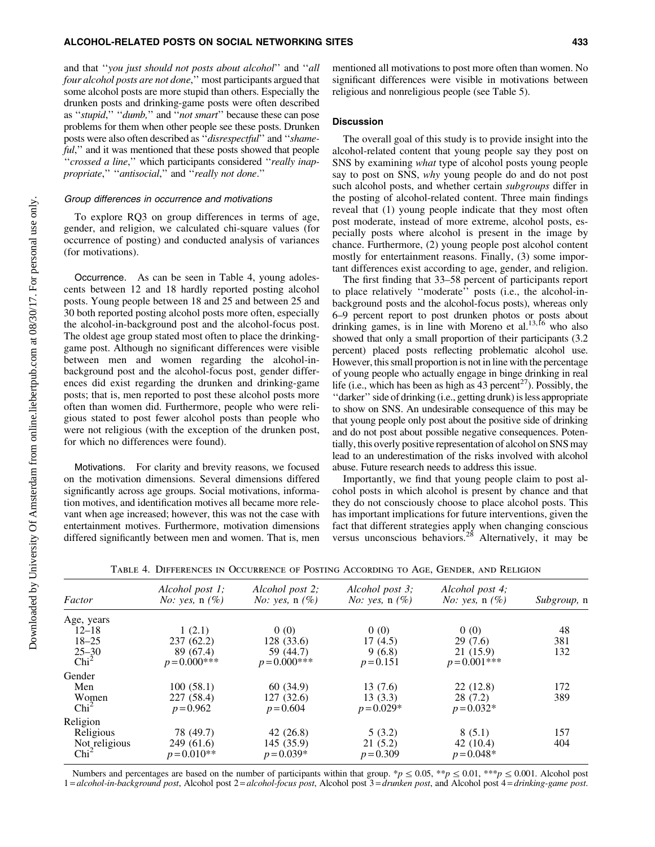#### ALCOHOL-RELATED POSTS ON SOCIAL NETWORKING SITES 433

and that ''*you just should not posts about alcohol*'' and ''*all four alcohol posts are not done*,'' most participants argued that some alcohol posts are more stupid than others. Especially the drunken posts and drinking-game posts were often described as ''*stupid*,'' ''*dumb,*'' and ''*not smart*'' because these can pose problems for them when other people see these posts. Drunken posts were also often described as ''*disrespectful*'' and ''*shameful*," and it was mentioned that these posts showed that people ''*crossed a line*,'' which participants considered ''*really inappropriate*,'' ''*antisocial*,'' and ''*really not done*.''

#### Group differences in occurrence and motivations

To explore RQ3 on group differences in terms of age, gender, and religion, we calculated chi-square values (for occurrence of posting) and conducted analysis of variances (for motivations).

Occurrence. As can be seen in Table 4, young adolescents between 12 and 18 hardly reported posting alcohol posts. Young people between 18 and 25 and between 25 and 30 both reported posting alcohol posts more often, especially the alcohol-in-background post and the alcohol-focus post. The oldest age group stated most often to place the drinkinggame post. Although no significant differences were visible between men and women regarding the alcohol-inbackground post and the alcohol-focus post, gender differences did exist regarding the drunken and drinking-game posts; that is, men reported to post these alcohol posts more often than women did. Furthermore, people who were religious stated to post fewer alcohol posts than people who were not religious (with the exception of the drunken post, for which no differences were found).

Motivations. For clarity and brevity reasons, we focused on the motivation dimensions. Several dimensions differed significantly across age groups. Social motivations, information motives, and identification motives all became more relevant when age increased; however, this was not the case with entertainment motives. Furthermore, motivation dimensions differed significantly between men and women. That is, men

mentioned all motivations to post more often than women. No significant differences were visible in motivations between religious and nonreligious people (see Table 5).

#### **Discussion**

The overall goal of this study is to provide insight into the alcohol-related content that young people say they post on SNS by examining *what* type of alcohol posts young people say to post on SNS, *why* young people do and do not post such alcohol posts, and whether certain *subgroups* differ in the posting of alcohol-related content. Three main findings reveal that (1) young people indicate that they most often post moderate, instead of more extreme, alcohol posts, especially posts where alcohol is present in the image by chance. Furthermore, (2) young people post alcohol content mostly for entertainment reasons. Finally, (3) some important differences exist according to age, gender, and religion.

The first finding that 33–58 percent of participants report to place relatively ''moderate'' posts (i.e., the alcohol-inbackground posts and the alcohol-focus posts), whereas only 6–9 percent report to post drunken photos or posts about drinking games, is in line with Moreno et al.<sup>13,16</sup> who also showed that only a small proportion of their participants (3.2 percent) placed posts reflecting problematic alcohol use. However, this small proportion is not in line with the percentage of young people who actually engage in binge drinking in real life (i.e., which has been as high as 43 percent<sup>27</sup>). Possibly, the ''darker'' side of drinking (i.e., getting drunk) is less appropriate to show on SNS. An undesirable consequence of this may be that young people only post about the positive side of drinking and do not post about possible negative consequences. Potentially, this overly positive representation of alcohol on SNS may lead to an underestimation of the risks involved with alcohol abuse. Future research needs to address this issue.

Importantly, we find that young people claim to post alcohol posts in which alcohol is present by chance and that they do not consciously choose to place alcohol posts. This has important implications for future interventions, given the fact that different strategies apply when changing conscious versus unconscious behaviors.<sup>28</sup> Alternatively, it may be

| Factor           | Alcohol post 1;<br><i>No:</i> yes, $n(\%)$ | Alcohol post 2;<br><i>No:</i> yes, $n(\%)$ | Alcohol post 3;<br><i>No:</i> yes, $n(\%)$ | Alcohol post 4;<br><i>No:</i> yes, $n(\%)$ | Subgroup, n |
|------------------|--------------------------------------------|--------------------------------------------|--------------------------------------------|--------------------------------------------|-------------|
| Age, years       |                                            |                                            |                                            |                                            |             |
| $12 - 18$        | 1(2.1)                                     | 0(0)                                       | 0(0)                                       | 0(0)                                       | 48          |
| $18 - 25$        | 237(62.2)                                  | 128 (33.6)                                 | 17(4.5)                                    | 29(7.6)                                    | 381         |
| $25 - 30$        | 89 (67.4)                                  | 59 (44.7)                                  | 9(6.8)                                     | 21 (15.9)                                  | 132         |
| Chi <sup>2</sup> | $p = 0.000$ ***                            | $p = 0.000$ ***                            | $p = 0.151$                                | $p = 0.001$ ***                            |             |
| Gender           |                                            |                                            |                                            |                                            |             |
| Men              | 100(58.1)                                  | 60 (34.9)                                  | 13(7.6)                                    | 22(12.8)                                   | 172         |
| Women            | 227 (58.4)                                 | 127 (32.6)                                 | 13(3.3)                                    | 28(7.2)                                    | 389         |
| Chi <sup>2</sup> | $p = 0.962$                                | $p = 0.604$                                | $p = 0.029*$                               | $p = 0.032*$                               |             |
| Religion         |                                            |                                            |                                            |                                            |             |
| Religious        | 78 (49.7)                                  | 42(26.8)                                   | 5(3.2)                                     | 8(5.1)                                     | 157         |
| Not religious    | 249(61.6)                                  | 145 (35.9)                                 | 21(5.2)                                    | 42(10.4)                                   | 404         |
| Chi <sup>2</sup> | $p = 0.010**$                              | $p = 0.039*$                               | $p = 0.309$                                | $p = 0.048*$                               |             |

Table 4. Differences in Occurrence of Posting According to Age, Gender, and Religion

Numbers and percentages are based on the number of participants within that group.  $\gamma p \leq 0.05$ ,  $\gamma p \leq 0.01$ ,  $\gamma p \leq 0.001$ . Alcohol post 1 = *alcohol-in-background post*, Alcohol post 2 = *alcohol-focus post*, Alcohol post 3 = *drunken post*, and Alcohol post 4 = *drinking-game post*.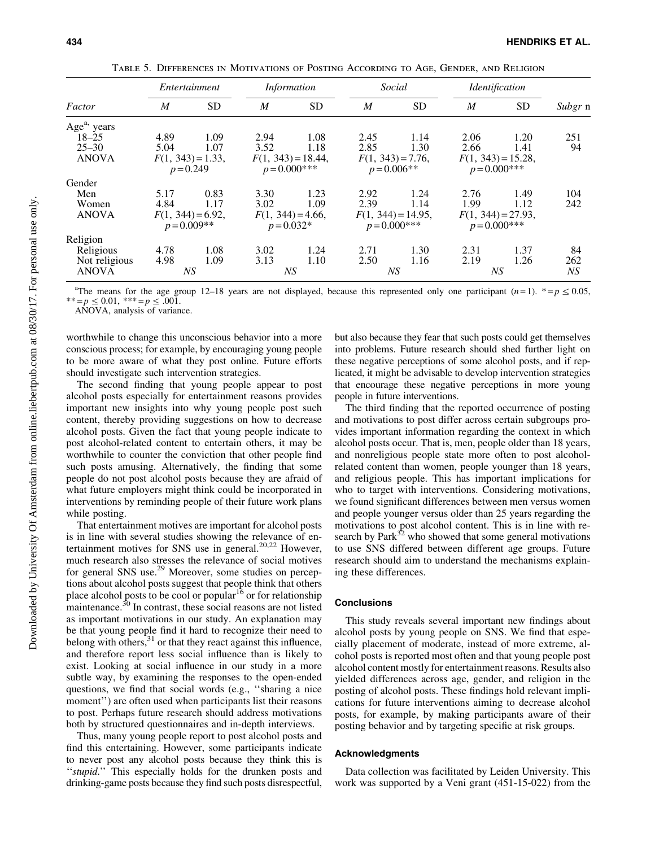|                         | Entertainment    |                      |                | <i>Information</i>                   |                  | Social                                   |                | <i><u><b>Identification</b></u></i>      |         |
|-------------------------|------------------|----------------------|----------------|--------------------------------------|------------------|------------------------------------------|----------------|------------------------------------------|---------|
| Factor                  | $\boldsymbol{M}$ | <b>SD</b>            | $\overline{M}$ | <b>SD</b>                            | $\boldsymbol{M}$ | <b>SD</b>                                | $\overline{M}$ | <b>SD</b>                                | Subgr n |
| Age <sup>a,</sup> years |                  |                      |                |                                      |                  |                                          |                |                                          |         |
| $18 - 25$               | 4.89             | 1.09                 | 2.94           | 1.08                                 | 2.45             | 1.14                                     | 2.06           | 1.20                                     | 251     |
| $25 - 30$               | 5.04             | 1.07                 | 3.52           | 1.18                                 | 2.85             | 1.30                                     | 2.66           | 1.41                                     | 94      |
| <b>ANOVA</b>            |                  | $F(1, 343) = 1.33$ , |                | $F(1, 343) = 18.44$ ,                |                  | $F(1, 343) = 7.76$ ,                     |                | $F(1, 343) = 15.28$ ,                    |         |
|                         | $p = 0.249$      |                      |                | $p = 0.000$ ***                      |                  | $p = 0.006$ **                           |                | $p = 0.000$ ***                          |         |
| Gender                  |                  |                      |                |                                      |                  |                                          |                |                                          |         |
| Men                     | 5.17             | 0.83                 | 3.30           | 1.23                                 | 2.92             | 1.24                                     | 2.76           | 1.49                                     | 104     |
| Women                   | 4.84             | 1.17                 | 3.02           | 1.09                                 | 2.39             | 1.14                                     | 1.99           | 1.12                                     | 242     |
| <b>ANOVA</b>            | $p = 0.009**$    | $F(1, 344) = 6.92$ , |                | $F(1, 344) = 4.66$ ,<br>$p = 0.032*$ |                  | $F(1, 344) = 14.95$ ,<br>$p = 0.000$ *** |                | $F(1, 344) = 27.93$ ,<br>$p = 0.000$ *** |         |
| Religion                |                  |                      |                |                                      |                  |                                          |                |                                          |         |
| Religious               | 4.78             | 1.08                 | 3.02           | 1.24                                 | 2.71             | 1.30                                     | 2.31           | 1.37                                     | 84      |
| Not religious           | 4.98             | 1.09                 | 3.13           | 1.10                                 | 2.50             | 1.16                                     | 2.19           | 1.26                                     | 262     |
| <b>ANOVA</b>            |                  | NS                   |                | NS                                   |                  | NS                                       |                | NS                                       | NS      |

Table 5. Differences in Motivations of Posting According to Age, Gender, and Religion

<sup>a</sup>The means for the age group 12–18 years are not displayed, because this represented only one participant  $(n=1)$ .  $* = p \le 0.05$ ,  $^{**} = p \le 0.01,$  \*\*\* =  $p \le .001$ .

ANOVA, analysis of variance.

worthwhile to change this unconscious behavior into a more conscious process; for example, by encouraging young people to be more aware of what they post online. Future efforts should investigate such intervention strategies.

The second finding that young people appear to post alcohol posts especially for entertainment reasons provides important new insights into why young people post such content, thereby providing suggestions on how to decrease alcohol posts. Given the fact that young people indicate to post alcohol-related content to entertain others, it may be worthwhile to counter the conviction that other people find such posts amusing. Alternatively, the finding that some people do not post alcohol posts because they are afraid of what future employers might think could be incorporated in interventions by reminding people of their future work plans while posting.

That entertainment motives are important for alcohol posts is in line with several studies showing the relevance of entertainment motives for SNS use in general.<sup>20,22</sup> However, much research also stresses the relevance of social motives for general SNS use.<sup>29</sup> Moreover, some studies on perceptions about alcohol posts suggest that people think that others place alcohol posts to be cool or popular<sup>16</sup> or for relationship maintenance.<sup>30</sup> In contrast, these social reasons are not listed as important motivations in our study. An explanation may be that young people find it hard to recognize their need to belong with others,  $31$  or that they react against this influence, and therefore report less social influence than is likely to exist. Looking at social influence in our study in a more subtle way, by examining the responses to the open-ended questions, we find that social words (e.g., ''sharing a nice moment'') are often used when participants list their reasons to post. Perhaps future research should address motivations both by structured questionnaires and in-depth interviews.

Thus, many young people report to post alcohol posts and find this entertaining. However, some participants indicate to never post any alcohol posts because they think this is "stupid." This especially holds for the drunken posts and drinking-game posts because they find such posts disrespectful, but also because they fear that such posts could get themselves into problems. Future research should shed further light on these negative perceptions of some alcohol posts, and if replicated, it might be advisable to develop intervention strategies that encourage these negative perceptions in more young people in future interventions.

The third finding that the reported occurrence of posting and motivations to post differ across certain subgroups provides important information regarding the context in which alcohol posts occur. That is, men, people older than 18 years, and nonreligious people state more often to post alcoholrelated content than women, people younger than 18 years, and religious people. This has important implications for who to target with interventions. Considering motivations, we found significant differences between men versus women and people younger versus older than 25 years regarding the motivations to post alcohol content. This is in line with research by Park $3<sup>2</sup>$  who showed that some general motivations to use SNS differed between different age groups. Future research should aim to understand the mechanisms explaining these differences.

#### **Conclusions**

This study reveals several important new findings about alcohol posts by young people on SNS. We find that especially placement of moderate, instead of more extreme, alcohol posts is reported most often and that young people post alcohol content mostly for entertainment reasons. Results also yielded differences across age, gender, and religion in the posting of alcohol posts. These findings hold relevant implications for future interventions aiming to decrease alcohol posts, for example, by making participants aware of their posting behavior and by targeting specific at risk groups.

#### Acknowledgments

Data collection was facilitated by Leiden University. This work was supported by a Veni grant (451-15-022) from the